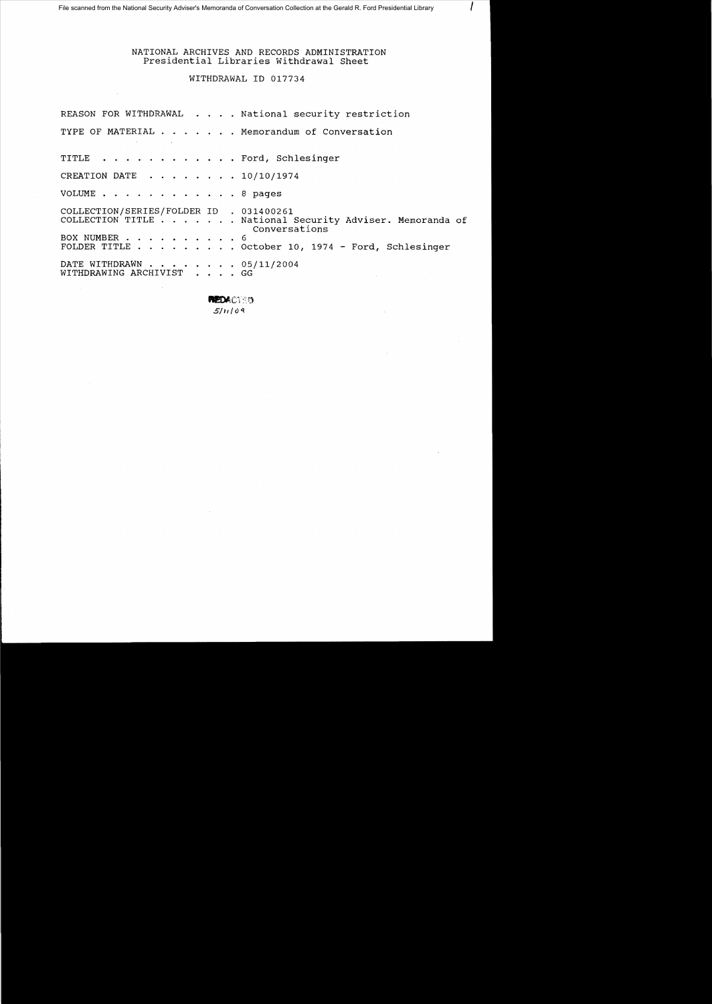NATIONAL ARCHIVES AND RECORDS ADMINISTRATION Presidential Libraries Withdrawal Sheet

I

WITHDRAWAL ID 017734

|                                                              |  | REASON FOR WITHDRAWAL National security restriction                       |
|--------------------------------------------------------------|--|---------------------------------------------------------------------------|
| the contract of the state of the contract of the contract of |  | TYPE OF MATERIAL Memorandum of Conversation                               |
| TITLE Ford, Schlesinger                                      |  |                                                                           |
| CREATION DATE $\ldots$ , $\ldots$ , $10/10/1974$             |  |                                                                           |
| VOLUME 8 pages                                               |  |                                                                           |
| COLLECTION/SERIES/FOLDER ID . 031400261                      |  | COLLECTION TITLE National Security Adviser. Memoranda of<br>Conversations |
| BOX NUMBER 6                                                 |  | FOLDER TITLE October 10, 1974 - Ford, Schlesinger                         |
| DATE WITHDRAWN 05/11/2004<br>WITHDRAWING ARCHIVIST GG        |  |                                                                           |

**REDACT:50** *5/*II I () <sup>q</sup>

 $\bar{z}$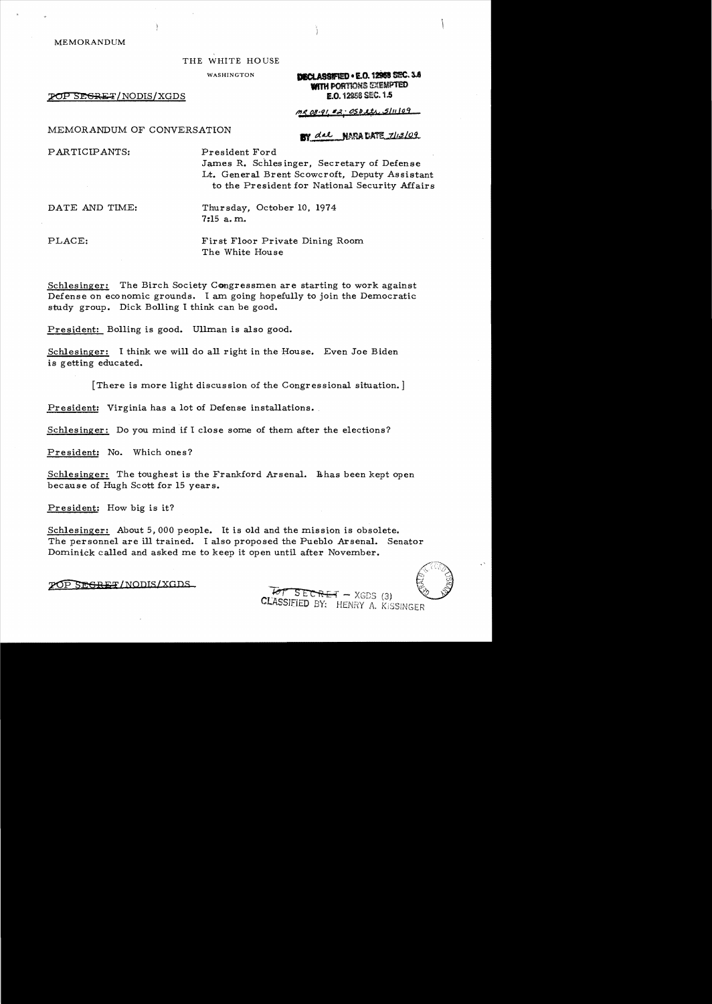### MEMORANDUM

### THE WHITE HOUSE

POP SEGRET/NODIS/XGDS

WASHINGTON **ISLE 2008 ISLE 2008 SEC. 3A WITH PORTIONS EXEMPTED** 1.0.12958 SEC. 1.5

 $me$   $08.91$   $\#2.05$  pith  $5/11/109$ 

## MEMORANDUM OF CONVERSATION

BY dal NARA BATE 7/13/09

PARTICIPANTS: President Ford

James R. Schlesinger, Secretary of Defense Lt. General Brent Scowcroft, Deputy Assistant to the President for National Security Mfairs

DATE AND TIME: Thursday, October 10, 1974 7:15 a. m..

PLACE: First Floor Private Dining Room The White House

Schlesinger: The Birch Society Congressmen are starting to work against Defense on economic grounds. I am going hopefully to join the Democratic study group. Dick Bolling I think can be good.

President: Bolling is good. Ullman is also good.

Schlesinger: I think we will do all right in the House. Even Joe Biden is getting educated.

[There is more light discussion of the Congressional situation.]

President: Virginia has a lot of Defense installations.

Schlesinger: Do you mind if I close some of them after the elections?

President: No. Which ones?

Schlesinger: The toughest is the Frankford Arsenal. Behas been kept open because of Hugh Scott for 15 years.

President; How big is it?

Schlesinger: About 5,000 people. It is old and the mission is obsolete. The personnel are ill trained. I also proposed the Pueblo Arsenal. Senator Dominick called and asked me to keep it open until after November.

 $\overline{P}$ OP SEGRET/NODIS/XGDS ...  $\overline{P}$  SECRET - XGDS (3)

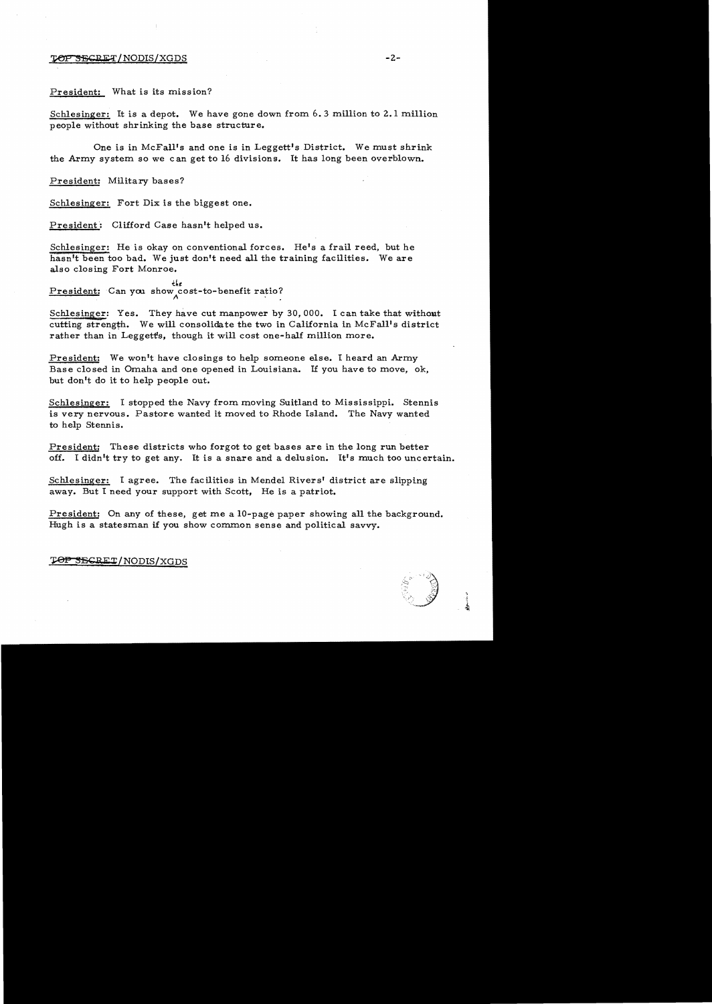### **TOP SECRET/NODIS/XGDS**

President: What is its mission?

Schlesinger: It is a depot. We have gone down from 6.3 million to 2.1 million people without shrinking the base structure.

One is in McFall's and one is in Leggett's District. We must shrink the Army system so we can get to 16 divisions. It has long been overblown.

President: Military bases?

Schlesinger: Fort Dix is the biggest one.

President: Clifford Case hasn't helped us.

Schlesinger: He is okay on conventional forces. He's a frail reed, but he hasn't been too bad. We just don't need all the training facilities. We are also closing Fort Monroe.

 $\frac{th}{t}$ <br>President: Can you show cost-to-benefit ratio?

Schlesinger: Yes. They have cut manpower by 30,000. I can take that without cutting strength. We will consolidate the two in California in McFall's district rather than in Leggett's, though it will cost one-half million more.

President: We won't have closings to help someone else. I heard an Army Base closed in Omaha and one opened in Louisiana. If you have to move, ok, but don't do it to help people out.

Schlesinger: I stopped the Navy from moving Suitland to Mississippi. Stennis is very nervous. Pastore wanted it moved to Rhode Island. The Navy wanted to help Stennis.

President: These districts who forgot to get bases are in the long run better off. I didn't try to get any. It is a snare and a delusion. It's much too uncertain.

Schlesinger: I agree. The facilities in Mendel Rivers' district are slipping away. But I need your support with Scott, He is a patriot.

President: On any of these, get me a 10-page paper showing all the background. Hugh is a statesman if you show common sense and political savvy.

# TOP SECRET/NODIS/XGDS



 $-2-$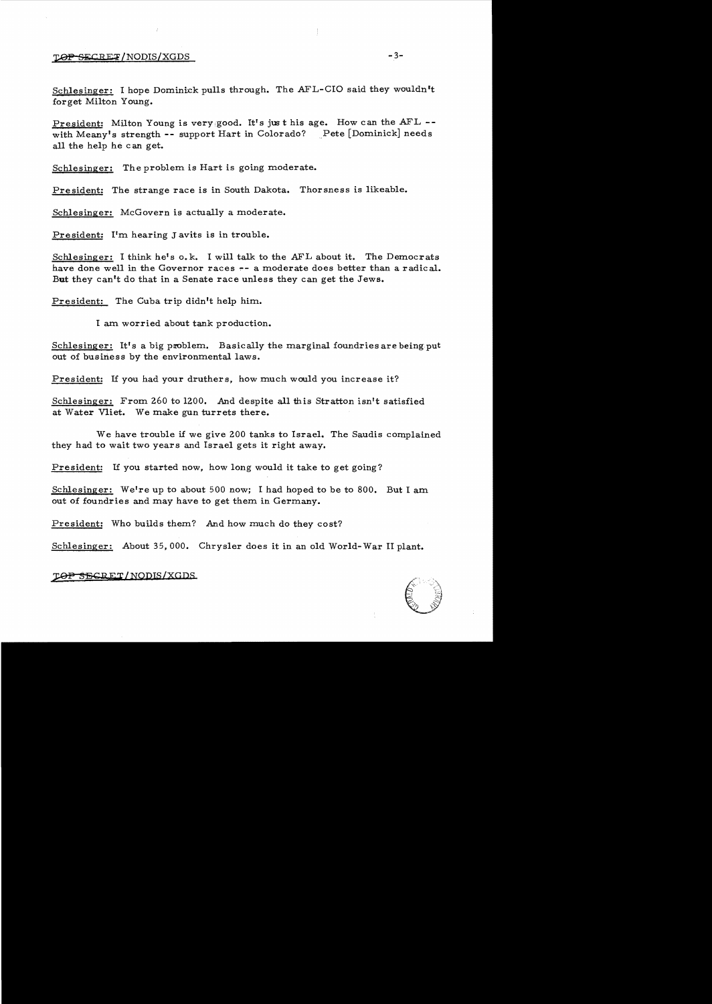## **LOP SECRET/NODIS/XGDS**

Schlesinger: I hope Dominick pulls through. The AFL-CIO said they wouldn't forget Milton Young.

President: Milton Young is very good. It's just his age. How can the AFL -with Meany's strength -- support Hart in Colorado? Pete [Dominick] needs all the help he can get.

Schlesinger: The problem is Hart is going moderate.

President: The strange race is in South Dakota. Thorsness is likeable.

Schlesinger: McGovern is actually a moderate.

President: I'm hearing Javits is in trouble.

Schlesinger: I think he's o.k. I will talk to the AFL about it. The Democrats have done well in the Governor races  $-$  a moderate does better than a radical. But they can't do that in a Senate race unless they can get the Jews.

President: The Cuba trip didn't help him.

I am worried about tank production.

Schlesinger: It's a big problem. Basically the marginal foundries are being put out of business by the environmental laws.

President: If you had your druthers, how much would you increase it?

Schlesinger: From 260 to 1200. And despite all this Stratton isn't satisfied at Water Vliet. We make gun turrets there.

We have trouble if we *give* 200 tanks to Israel. The Saudis complained they had to wait two years and Israel gets it right away.

President: If you started now, how long would it take to get going?

Schlesinger: We're up to about 500 now; I had hoped to be to 800. But I am out of foundries and may have to get them in Germany.

President: Who builds them? And how much do they cost?

Schlesinger: About 35,000. Chrysler does it in an old World- War II plant.

## *SS{;REl'/NQDIS/XQDS*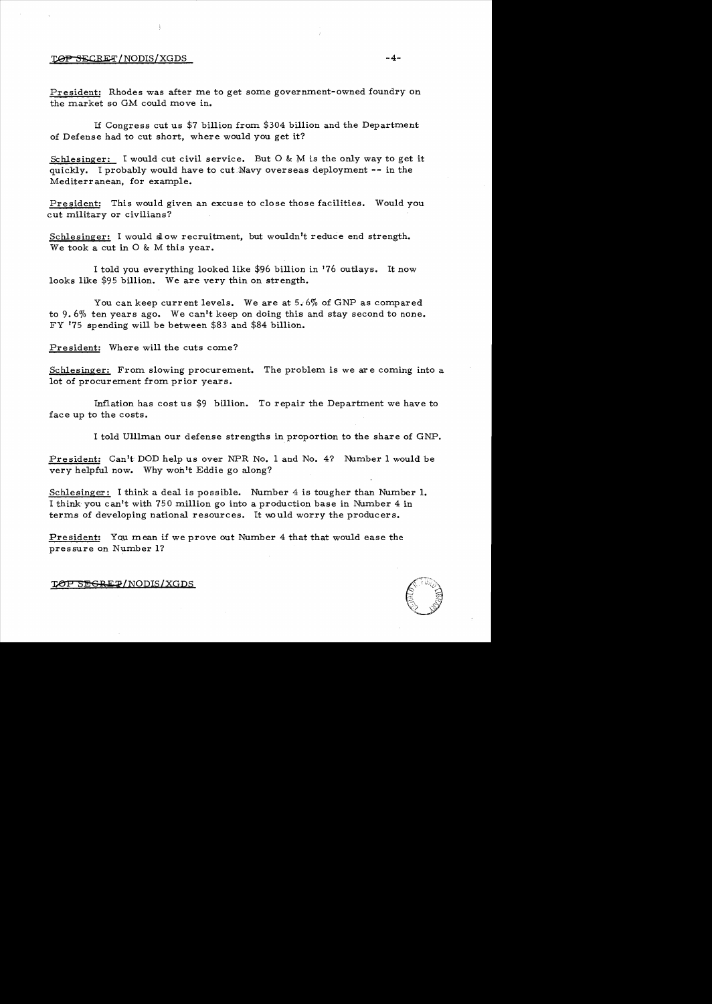## TO PSECRET/NODIS/XGDS -4-

President: Rhodes was after me to get some government-owned foundry on the market so GM could move in.

If Congress cut us \$7 billion from \$304 billion and the Department of Defense had to cut short, where would you get it?

Schlesinger: I would cut civil service. But 0 & M is the only way to get it quickly. I probably would have to cut Navy overseas deployment -- in the Mediterranean, for example.

President: This would given an excuse to close those facilities. Would you cut military or civilians?

Schlesinger: I would slow recruitment, but wouldn't reduce end strength. We took a cut in 0 & M this year.

I told you everything looked like \$96 billion in '76 outlays. It now looks like \$95 billion. We are very thin on strength.

You can keep current levels. We are at 5.6% of GNP as compared to 9.6% ten years ago. We can't keep on doing this and stay second to none. FY '75 spending will be between \$83 and \$84 billion.

President: Where will the cuts come?

Schlesinger: From slowing procurement. The problem is we are coming into a lot of procurement from prior years.

Inflation has cost us \$9 billion. To repair the Department we have to face up to the costs.

I told Ulllman our defense strengths in proportion to the share of GNP.

President: Can't DOD help us over NPR No. 1 and No. 4? Number 1 would be very helpful now. Why woh't Eddie go along?

Schlesinger: I think a deal is possible. Number 4 is tougher than Number 1. I think you can't with 750 million go into a production base in Number 4 in terms of developing national resources. It would worry the producers.

President: You mean if we prove out Number 4 that that would ease the pressure on Number I?

TOP SEGREP/NODIS/XGDS

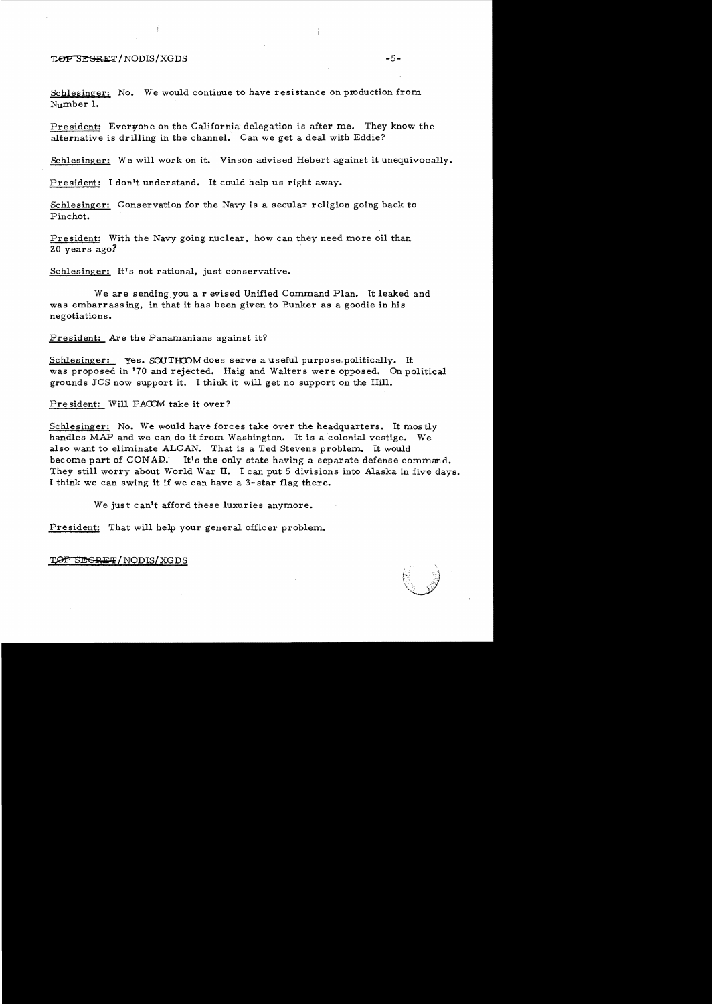## ~/NODIS/XGDS -5

Schlesinger: No. We would continue to have resistance on production from Number 1.

President: Everyone on the California delegation is after me. They know the alternative is drilling in the channel. Can we get a deal with Eddie?

Schlesinger: We will work on it. Vinson advised Hebert against it unequivocally.

President: I don't understand. It could help us right away.

Schlesinger: Conservation for the Navy is a secular religion going back to Pinchot.

President: With the Navy going nuclear, how can they need more oil than 20 years ago?

Schlesinger: It's not rational, just conservative.

We are sending you a revised Unified Command Plan. It leaked and was embarrass ing, in that it has been given to Bunker as a goodie in his negotiations.

President: Are the Panamanians against it?

Schlesinger: yes. SOUTHOOM does serve a useful purpose politically. It was proposed in '70 and rejected. Haig and Walters were opposed. On political grounds JGS now support it. I think it will get no support on the Hill.

President: Will PACCM take it over?

Schlesinger: No. We would have forces take over the headquarters. It mostly handles MAP and we can do it from Washington. It is a colonial vestige. We also want to eliminate ALCAN. That is a Ted Stevens problem. It would become part of CONAD. It's the only state having a separate defense command. They still worry about World War II. I can put 5 divisions into Alaska in five days. I think we can swing it if we can have a 3-star flag there.

We just can't afford these luxuries anymore.

President: That will help your general officer problem.

TOP SEGRET / NODIS / XGDS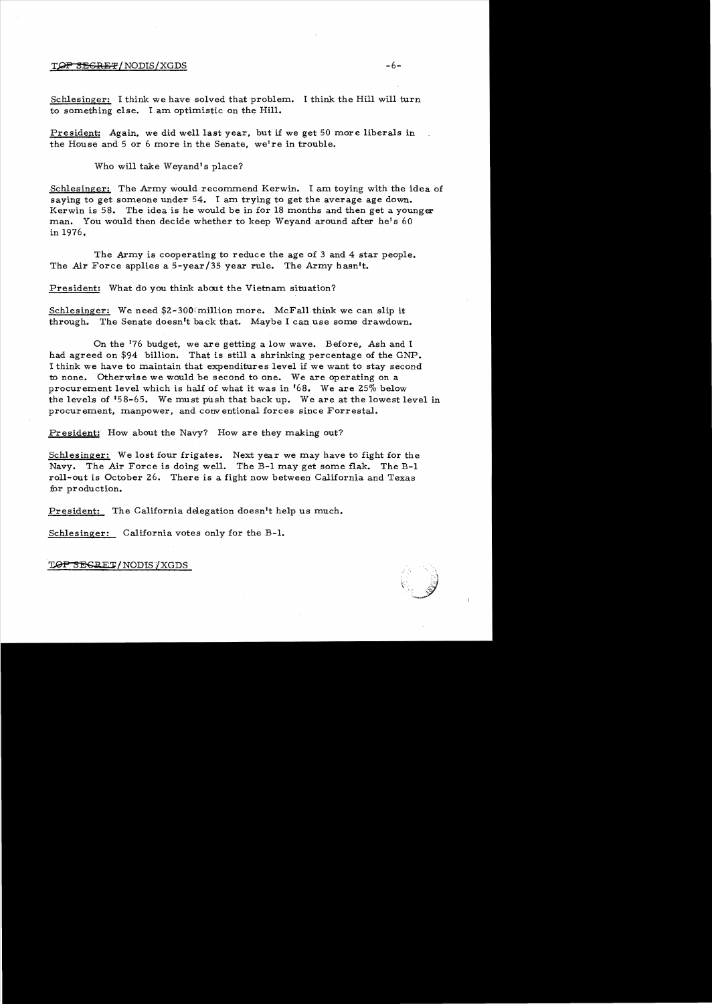## TOP SEGRET/NODIS/XGDS -6-

Schlesinger: I think we have solved that problem. I think the Hill will turn to something else. I am optimistic on the Hill.

President: Again, we did well last year, but if we get 50 more liberals in the House and 5 or 6 more in the Senate, welre in trouble.

Who will take Weyand's place?

Schlesinger: The Army would recommend Kerwin. I am toying with the idea of saying to get someone under 54. I am trying to get the average age down. Kerwin is 58. The idea is he would be in for 18 months and then get a younger man. You would then decide whether to keep Weyand around after he's 60 in 1976,

The Army is cooperating to reduce the age of 3 and 4 star people. The Air Force applies a 5-year/35 year rule. The Army hasn't.

President: What do you think about the Vietnam situation?

Schlesinger: We need \$2-300 million more. McFall think we can slip it through. The Senate doesn't back that. Maybe I can use some drawdown.

On the 176 budget, we are getting a low wave. Before, Ash and I had agreed on \$94 billion. That is still a shrinking percentage of the GNP. I think we have to maintain that expenditures level if we want to stay second to none. Otherwise we would be second to one. We are operating on a procurement level which is half of what it was in '68. We are *250/0* below the levels of '58-65. We must push that back up. We are at the lowest level in procurement, manpower, and conventional forces since Forrestal.

President: How about the Navy? How are they making out?

Schlesinger: We lost four frigates. Next year we may have to fight for the Navy. The Air Force is doing well. The B-1 may get some flak. The B-1 roll-out is October 26. There is a fight now between California and Texas for production.

President: The California delegation doesn't help us much.

Schlesinger: California votes only for the B-1.

TOP SESRET/NODIS/XGDS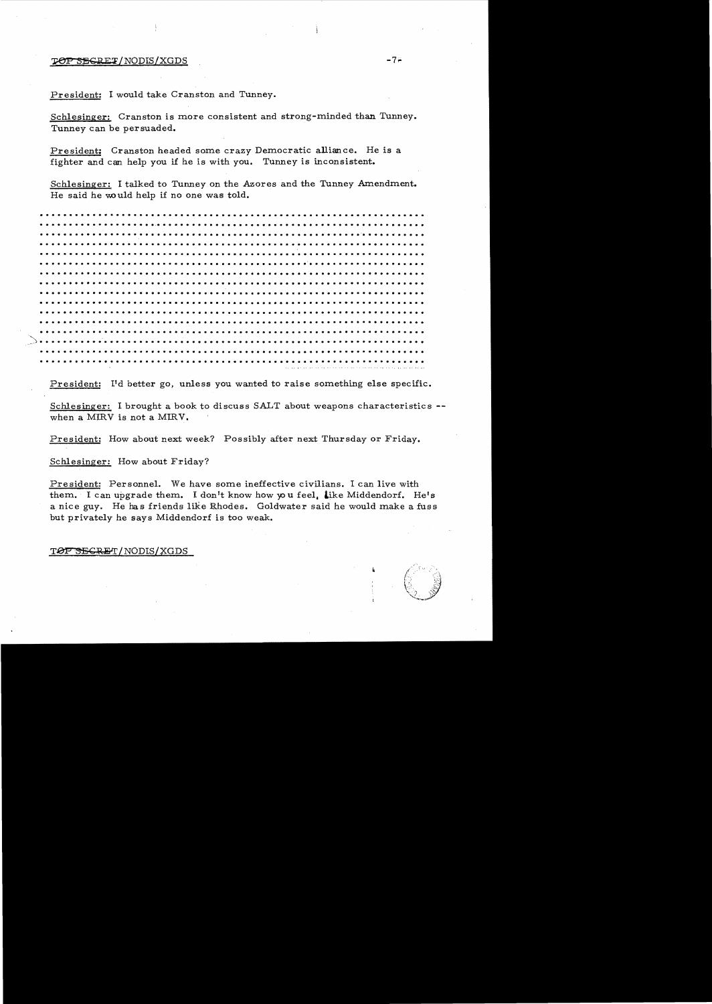$\rho_{\rm EFT}$ /NODIS/XGDS  $-7\epsilon$ 

President: I would take Cranston and Tunney.

Schlesinger: Cranston is more consistent and strong-minded than Tunney. Tunney can be persuaded.

President: Cranston headed some crazy Democratic alliance. He is a fighter and can help you if he is with you. Tunney is inconsistent.

Schlesinger: I talked to Tunney on the Azores and the Tunney Amendment. He said he would help if no one was told.

·. . . .., . . . · . ... . .. ·. ·.. . ·. ·........ . ... ·. . . . ... . .. ·. . .. . .. . ... ... . . . . ... ·....... ·... . ·. .. . . .."..... ..... .. ·. . .... . .. ·. . .. <sup>~</sup> ·.. ... . ..... ........ ..... • • • ·.. .. .... ·. .... ·. . .. ... ·. . . . .... ·. ·...... . . .... . . .. . . ...... . .. ...... . . . . ..... . ........ .. ... ... . .. · . .... . . ... ·. . . . ... . ·... .. · . . .. ·.. ·. · . .. ·....... . . ·.. ·... ·. · . . . . . . .. ·.. ... . . .... ....... . ·... ·....... . .. . ... .... . ·. . ..... ·... .. . . . .. · ...... . . . ........ ·. ·.. ·. · . . .. . .. ·.. ......... . ·... ·.. . ... . ... .. ·..... . ·... . ....... . . .... ... ... .... . ... . . ... . . · . . .... . .. ·. .. ·.. ·. ·.. ·. ·..

President: I'd better go, unless you wanted to raise something else specific.

Schlesinger: I brought a book to discuss SALT about weapons characteristics -when a MIRV is not a MIRV.

President: How about next week? Possibly after next Thursday or Friday.

Schlesinger: How about Friday?

President: Personnel. We have some ineffective civilians. I can live with them. I can upgrade them. I don't know how you feel, like Middendorf. He's a nice guy. He has friends like Rhodes. Goldwater said he would make a fuss but privately he says Middendorf is too weak.

## TOP SECRET/NODIS/XGDS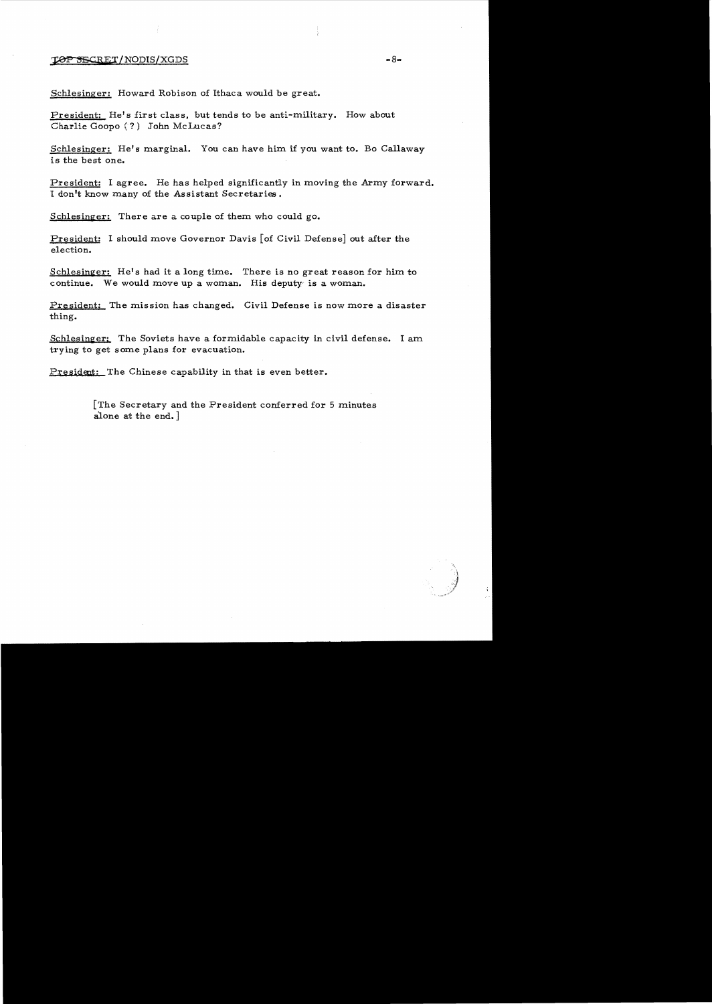## $\mathcal{L}$   $\Theta$   $\mathcal{P}$   $\mathcal{S}$   $\mathcal{S}$   $\mathcal{S}$   $\mathcal{S}$   $\mathcal{S}$   $\mathcal{S}$   $\mathcal{S}$   $\mathcal{S}$   $\mathcal{S}$   $\mathcal{S}$   $\mathcal{S}$   $\mathcal{S}$   $\mathcal{S}$   $\mathcal{S}$   $\mathcal{S}$   $\mathcal{S}$   $\mathcal{S}$   $\mathcal{S}$   $\mathcal{S}$   $\mathcal{S}$   $\mathcal{S}$   $\mathcal{S}$

Schlesinger: Howard Robison of Ithaca would be great.

President: He's first class, but tends to be anti-military. How about Charlie Goopo (?) John McLucas?

Schlesinger: He's marginal. You can have him if you want to. Bo Callaway is the best one.

President: I agree. He has helped significantly in moving the Army forward. I don't know many of the Assistant Secretaries.

Schlesinger: There are a couple of them who could go.

President: I should move Governor Davis [of Civil Defense] out after the election.

Schlesinger: He's had it a long time. There is no great reason for him to continue. We would move up a woman. His deputy is a woman.

President: The mission has changed. Civil Defense is now more a disaster thing.

 $Schlesinger:$  The Soviets have a formidable capacity in civil defense. I am trying to get some plans for evacuation.

President: The Chinese capability in that is even better.

 $[$ The Secretary and the President conferred for 5 minutes alone at the end.

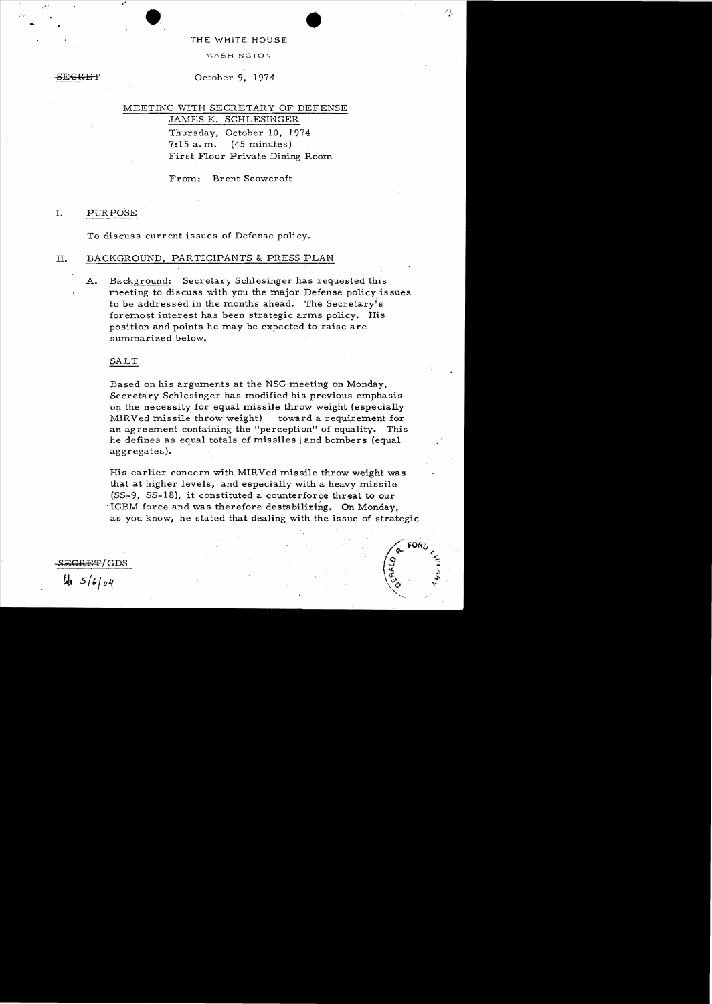## THE WHiTE HOUSE

**WASHINGTON** 

#### $\mathcal{L}\mathbf{P}$

**••** <sup>~</sup>

.' 

,',,

## October 9, 1974

# MEETING WITH SECRETARY OF DEFENSE JAMES K. SCHLESINGER

Thursday, October 10, 1974  $7:15$  a.m.  $(45 \text{ minutes})$ First Floor Private Dining Room

From: Brent Scowcroft

## 1. PURPOSE

To discuss current issues of Defense policy.

## II. BACKGROUND, PARTICIPANTS & PRESS PLAN

A. Background: Secretary Schlesinger has requested this meeting to discuss with you the major Defense policy issues to be addressed in the months ahead. The Secretaryis foremost interest has been strategic arms policy. His position and points he may be expected to raise are summarized below.

## SALT

Based on his arguments at the NSC meeting on Monday, Secretary Schlesinger has modified his previous emphasis on the necessity for equal missile throw weight (especially MIRVed missile throw weight) toward a requirement for an agreement containing the "perception" of equality. This he defines as equal totals of missiles \ and bombers (equal aggregates).

His earlier concern with MIRVed missile throw weight was that at higher levels, and especially with a heavy missile (SS-9, SS-18), it constituted a counterforce threat to our 'ICBM force and was therefore destabilizing. On Monday, as you know, he stated that dealing with the issue of strategic

**FOR** 

S<del>ECRET/</del>GDS  $\mu_{\alpha}$  *S/6/04*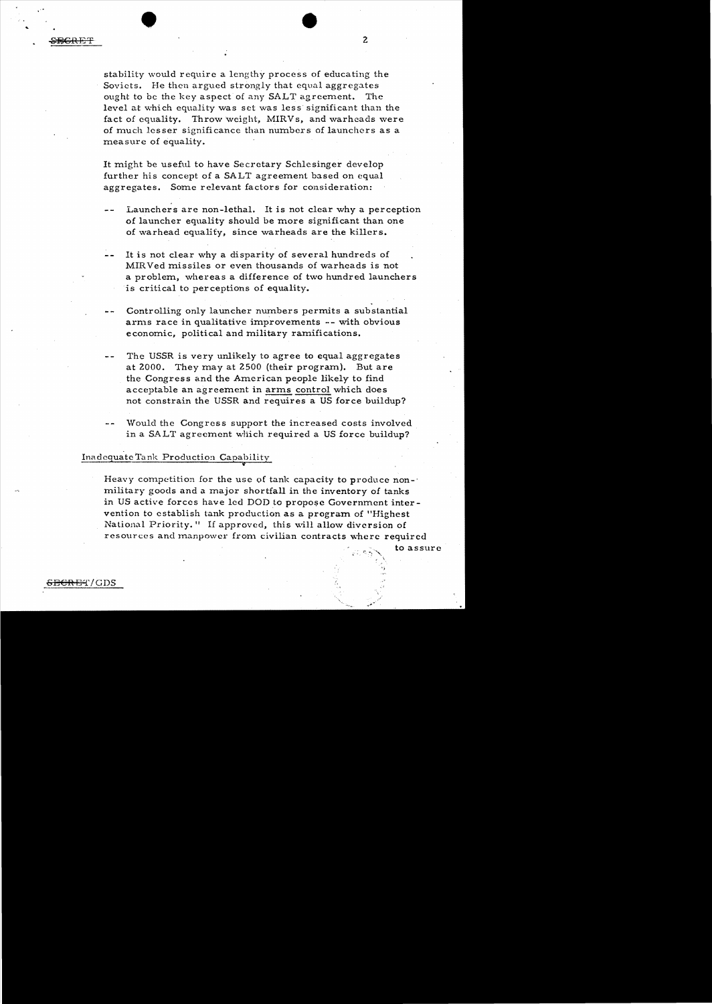external and the contract of the contract of the contract of the contract of the contract of the contract of the contract of the contract of the contract of the contract of the contract of the contract of the contract of t

stability would require a lengthy process of educating the Soviets. He then argued strongly that equal aggregates ought to be the key aspect of any SALT agreement. The level at which equality was set was less significant than the fact of equality. Throw weight, MIRVs, and warheads were of much lesser significance than numbers of launchers as a measure of equality.

It might be useful to have Secretary Schlesinger develop further his concept of a SALT agreement based on equal aggregates. Some relevant factors for consideration:

- Launchers are non-lethal. It is not clear why a perception of launcher equality should be more significant than one of warhead equality, since warheads are the killers.
- It is not clear why a disparity of several hundreds of MIRVed missiles or even thousands of warheads is not a problem, whereas a difference of two hundred launchers is critical to perceptions of equality.
- Controlling only launcher numbers permits a substantial arms race in qualitative improvements -- with obvious economic, political and military ramifications.
- The USSR is very unlikely to agree to equal aggregates at 2000. They may at 2500 (their program). But are the Congress and the American people likely to find acceptable an agreement in arms control which does not constrain the USSR and requires a US force buildup?
- Would the Congress support the increased costs involved in a SALT agreement which required a US force buildup?

Inadequate Tank Production Capability

Heavy competition for the use of tank capacity to produce nonmilitary goods and a major shortfall in the inventory of tanks in US active forces have led DOD to propose Government intervention to establish tank production as a program of "Highest National Priority." If approved, this will allow diversion of resources and manpower from civilian contracts where required

to assure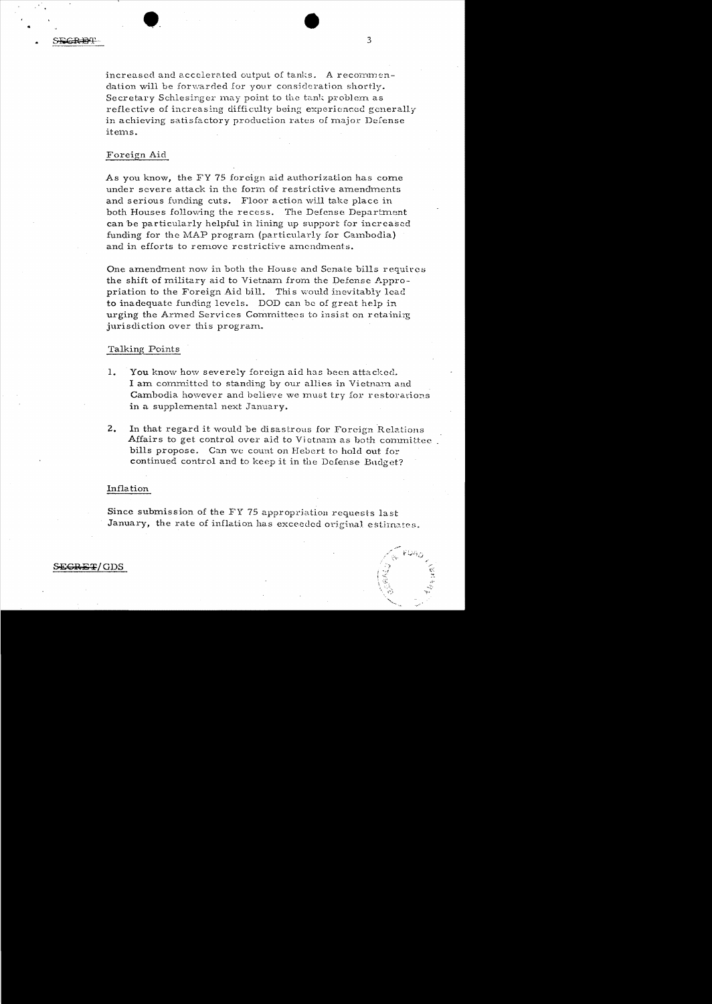increased and accelerated output of tanks. A recommendation will be forwarded for your consideration shortly. Secretary Schlesinger may point to the tank problem as reflective of increasing difficulty being experienced generally in achieving satisfactory production rates of major Defense items.

## Foreign Aid

As you know, the FY 75 foreign aid authorization has come under severe attack in the form of restrictive amendments and serious funding cuts. Floor action will take place in both Houses following the recess. The Defense Department can be particularly helpful in lining up support for increased funding for the MAP program (particularly for Cambodia) and in efforts to remove restrictive amendments.

One amendment now in both the House and Senate bills requires the shift of military aid to Vietnam from the Defense Appropriation to the Foreign Aid bill. This would inevitably lead to inadequate funding levels. DOD can be of great help in urging the Armed Services Committees to insist on retaining jurisdiction over this program..

### Talking Points

- 1. You know how severely foreign aid has been attacked. I am committed to standing by our allies in Vietnam and Cambodia however and believe we must try for restorations in a supplemental next January.
- 2. In that regard it would be disastrous for Foreign Relations Affairs to get control over aid to Vietnam as both conunittee. bills propose. Can we count on Hebert to hold out for continued control and to keep it in the Defense Budget?

### Inflation

Since submission of the FY 75 appropriation requests last January, the rate of inflation has exceeded original estimates.

SE<del>CRET</del>/ GDS

.........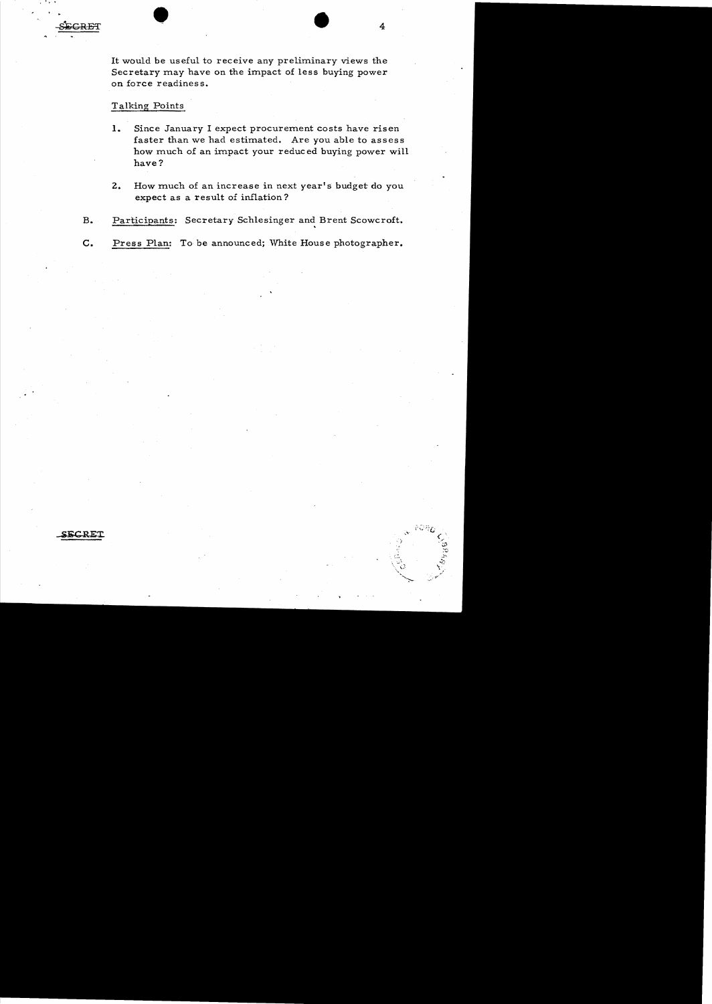**\_iifCRE'I:** 

• • >' "

It would be useful to receive any preliminary views the Secretary may have on the impact of less buying power on force readiness.

 $\bullet$   $\bullet$   $\bullet$   $\bullet$ 

# Talking Points

- **1.**  Since January I expect procurement costs have risen faster than we had estimated. Are you able to assess how much of an impact your reduced buying power will have?
- **2.**  How much of an increase in next year's budget do you expect as a result of inflation?
- B. Participants: Secretary Schlesinger and Brent Scowcroft.
- **c.** Press Plan: To be announced; White House photographer.